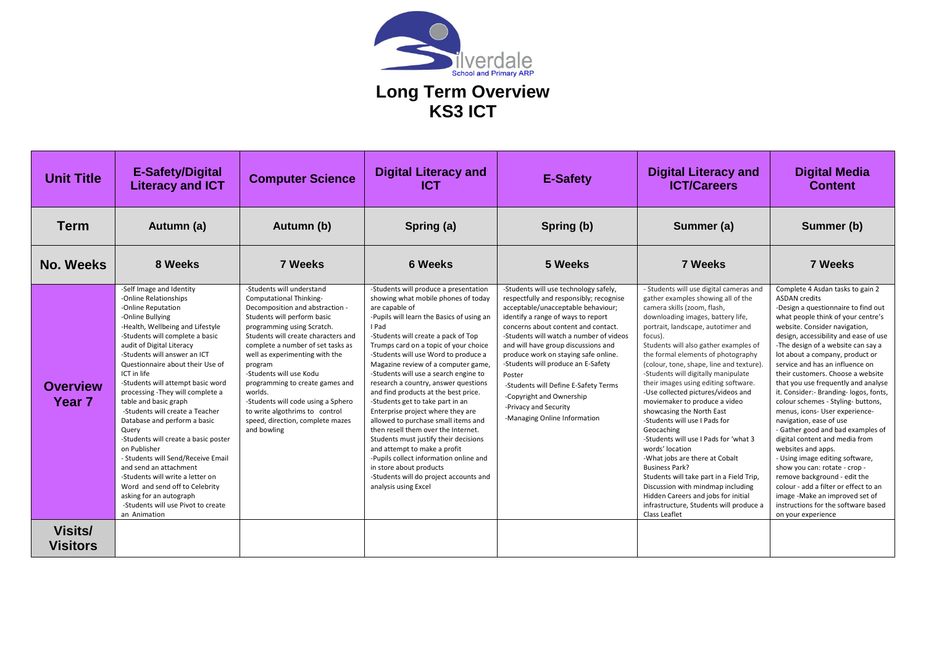

| <b>Unit Title</b>                    | <b>E-Safety/Digital</b><br><b>Literacy and ICT</b>                                                                                                                                                                                                                                                                                                                                                                                                                                                                                                                                                                                                                                                                                              | <b>Computer Science</b>                                                                                                                                                                                                                                                                                                                                                                                                                                                                  | <b>Digital Literacy and</b><br>ICT                                                                                                                                                                                                                                                                                                                                                                                                                                                                                                                                                                                                                                                                                                                                                                                  | <b>E-Safety</b>                                                                                                                                                                                                                                                                                                                                                                                                                                                                                            | <b>Digital Literacy and</b><br><b>ICT/Careers</b>                                                                                                                                                                                                                                                                                                                                                                                                                                                                                                                                                                                                                                                                                                                                                                                                                          | <b>Digital Media</b><br><b>Content</b>                                                                                                                                                                                                                                                                                                                                                                                                                                                                                                                                                                                                                                                                                                                                                                                                                                                         |
|--------------------------------------|-------------------------------------------------------------------------------------------------------------------------------------------------------------------------------------------------------------------------------------------------------------------------------------------------------------------------------------------------------------------------------------------------------------------------------------------------------------------------------------------------------------------------------------------------------------------------------------------------------------------------------------------------------------------------------------------------------------------------------------------------|------------------------------------------------------------------------------------------------------------------------------------------------------------------------------------------------------------------------------------------------------------------------------------------------------------------------------------------------------------------------------------------------------------------------------------------------------------------------------------------|---------------------------------------------------------------------------------------------------------------------------------------------------------------------------------------------------------------------------------------------------------------------------------------------------------------------------------------------------------------------------------------------------------------------------------------------------------------------------------------------------------------------------------------------------------------------------------------------------------------------------------------------------------------------------------------------------------------------------------------------------------------------------------------------------------------------|------------------------------------------------------------------------------------------------------------------------------------------------------------------------------------------------------------------------------------------------------------------------------------------------------------------------------------------------------------------------------------------------------------------------------------------------------------------------------------------------------------|----------------------------------------------------------------------------------------------------------------------------------------------------------------------------------------------------------------------------------------------------------------------------------------------------------------------------------------------------------------------------------------------------------------------------------------------------------------------------------------------------------------------------------------------------------------------------------------------------------------------------------------------------------------------------------------------------------------------------------------------------------------------------------------------------------------------------------------------------------------------------|------------------------------------------------------------------------------------------------------------------------------------------------------------------------------------------------------------------------------------------------------------------------------------------------------------------------------------------------------------------------------------------------------------------------------------------------------------------------------------------------------------------------------------------------------------------------------------------------------------------------------------------------------------------------------------------------------------------------------------------------------------------------------------------------------------------------------------------------------------------------------------------------|
| <b>Term</b>                          | Autumn (a)                                                                                                                                                                                                                                                                                                                                                                                                                                                                                                                                                                                                                                                                                                                                      | Autumn (b)                                                                                                                                                                                                                                                                                                                                                                                                                                                                               | Spring (a)                                                                                                                                                                                                                                                                                                                                                                                                                                                                                                                                                                                                                                                                                                                                                                                                          | Spring (b)                                                                                                                                                                                                                                                                                                                                                                                                                                                                                                 | Summer (a)                                                                                                                                                                                                                                                                                                                                                                                                                                                                                                                                                                                                                                                                                                                                                                                                                                                                 | Summer (b)                                                                                                                                                                                                                                                                                                                                                                                                                                                                                                                                                                                                                                                                                                                                                                                                                                                                                     |
| <b>No. Weeks</b>                     | 8 Weeks                                                                                                                                                                                                                                                                                                                                                                                                                                                                                                                                                                                                                                                                                                                                         | <b>7 Weeks</b>                                                                                                                                                                                                                                                                                                                                                                                                                                                                           | <b>6 Weeks</b>                                                                                                                                                                                                                                                                                                                                                                                                                                                                                                                                                                                                                                                                                                                                                                                                      | 5 Weeks                                                                                                                                                                                                                                                                                                                                                                                                                                                                                                    | <b>7 Weeks</b>                                                                                                                                                                                                                                                                                                                                                                                                                                                                                                                                                                                                                                                                                                                                                                                                                                                             | <b>7 Weeks</b>                                                                                                                                                                                                                                                                                                                                                                                                                                                                                                                                                                                                                                                                                                                                                                                                                                                                                 |
| <b>Overview</b><br>Year <sub>7</sub> | -Self Image and Identity<br>-Online Relationships<br>-Online Reputation<br>-Online Bullying<br>-Health, Wellbeing and Lifestyle<br>-Students will complete a basic<br>audit of Digital Literacy<br>-Students will answer an ICT<br>Questionnaire about their Use of<br>ICT in life<br>-Students will attempt basic word<br>processing -They will complete a<br>table and basic graph<br>-Students will create a Teacher<br>Database and perform a basic<br>Query<br>-Students will create a basic poster<br>on Publisher<br>- Students will Send/Receive Email<br>and send an attachment<br>-Students will write a letter on<br>Word and send off to Celebrity<br>asking for an autograph<br>-Students will use Pivot to create<br>an Animation | -Students will understand<br><b>Computational Thinking-</b><br>Decomposition and abstraction -<br>Students will perform basic<br>programming using Scratch.<br>Students will create characters and<br>complete a number of set tasks as<br>well as experimenting with the<br>program<br>-Students will use Kodu<br>programming to create games and<br>worlds.<br>-Students will code using a Sphero<br>to write algothrims to control<br>speed, direction, complete mazes<br>and bowling | -Students will produce a presentation<br>showing what mobile phones of today<br>are capable of<br>-Pupils will learn the Basics of using an<br>I Pad<br>-Students will create a pack of Top<br>Trumps card on a topic of your choice<br>-Students will use Word to produce a<br>Magazine review of a computer game,<br>-Students will use a search engine to<br>research a country, answer questions<br>and find products at the best price.<br>-Students get to take part in an<br>Enterprise project where they are<br>allowed to purchase small items and<br>then resell them over the Internet.<br>Students must justify their decisions<br>and attempt to make a profit<br>-Pupils collect information online and<br>in store about products<br>-Students will do project accounts and<br>analysis using Excel | -Students will use technology safely,<br>respectfully and responsibly; recognise<br>acceptable/unacceptable behaviour;<br>identify a range of ways to report<br>concerns about content and contact.<br>-Students will watch a number of videos<br>and will have group discussions and<br>produce work on staying safe online.<br>-Students will produce an E-Safety<br>Poster<br>-Students will Define E-Safety Terms<br>-Copyright and Ownership<br>-Privacy and Security<br>-Managing Online Information | - Students will use digital cameras and<br>gather examples showing all of the<br>camera skills (zoom, flash,<br>downloading images, battery life,<br>portrait, landscape, autotimer and<br>focus).<br>Students will also gather examples of<br>the formal elements of photography<br>(colour, tone, shape, line and texture).<br>-Students will digitally manipulate<br>their images using editing software.<br>-Use collected pictures/videos and<br>moviemaker to produce a video<br>showcasing the North East<br>-Students will use I Pads for<br>Geocaching<br>-Students will use I Pads for 'what 3<br>words' location<br>-What jobs are there at Cobalt<br><b>Business Park?</b><br>Students will take part in a Field Trip,<br>Discussion with mindmap including<br>Hidden Careers and jobs for initial<br>infrastructure, Students will produce a<br>Class Leaflet | Complete 4 Asdan tasks to gain 2<br><b>ASDAN credits</b><br>-Design a questionnaire to find out<br>what people think of your centre's<br>website. Consider navigation,<br>design, accessibility and ease of use<br>-The design of a website can say a<br>lot about a company, product or<br>service and has an influence on<br>their customers. Choose a website<br>that you use frequently and analyse<br>it. Consider: - Branding- logos, fonts,<br>colour schemes - Styling- buttons,<br>menus, icons- User experience-<br>navigation, ease of use<br>- Gather good and bad examples of<br>digital content and media from<br>websites and apps.<br>- Using image editing software,<br>show you can: rotate - crop -<br>remove background - edit the<br>colour - add a filter or effect to an<br>image -Make an improved set of<br>instructions for the software based<br>on your experience |
| Visits/<br><b>Visitors</b>           |                                                                                                                                                                                                                                                                                                                                                                                                                                                                                                                                                                                                                                                                                                                                                 |                                                                                                                                                                                                                                                                                                                                                                                                                                                                                          |                                                                                                                                                                                                                                                                                                                                                                                                                                                                                                                                                                                                                                                                                                                                                                                                                     |                                                                                                                                                                                                                                                                                                                                                                                                                                                                                                            |                                                                                                                                                                                                                                                                                                                                                                                                                                                                                                                                                                                                                                                                                                                                                                                                                                                                            |                                                                                                                                                                                                                                                                                                                                                                                                                                                                                                                                                                                                                                                                                                                                                                                                                                                                                                |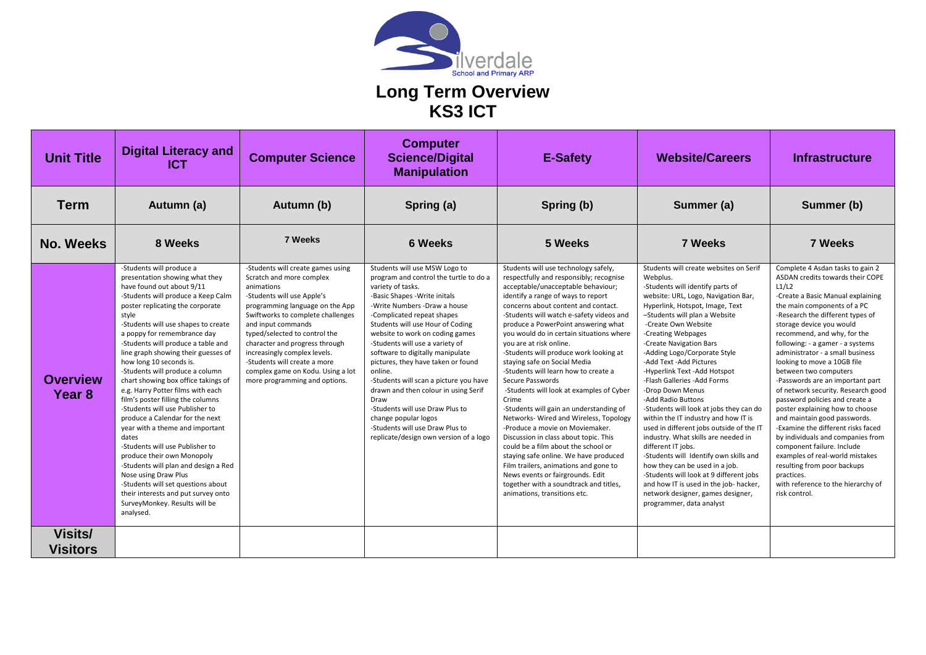

## **Long Term Overview KS3 ICT**

| <b>Unit Title</b>                    | <b>Digital Literacy and</b><br><b>ICT</b>                                                                                                                                                                                                                                                                                                                                                                                                                                                                                                                                                                                                                                                                                                                                                                                                                                                  | <b>Computer Science</b>                                                                                                                                                                                                                                                                                                                                                                                          | <b>Computer</b><br><b>Science/Digital</b><br><b>Manipulation</b>                                                                                                                                                                                                                                                                                                                                                                                                                                                                                                                                                             | <b>E-Safety</b>                                                                                                                                                                                                                                                                                                                                                                                                                                                                                                                                                                                                                                                                                                                                                                                                                                                                                                                                                | <b>Website/Careers</b>                                                                                                                                                                                                                                                                                                                                                                                                                                                                                                                                                                                                                                                                                                                                                                                                                                                     | <b>Infrastructure</b>                                                                                                                                                                                                                                                                                                                                                                                                                                                                                                                                                                                                                                                                                                                                                                                           |
|--------------------------------------|--------------------------------------------------------------------------------------------------------------------------------------------------------------------------------------------------------------------------------------------------------------------------------------------------------------------------------------------------------------------------------------------------------------------------------------------------------------------------------------------------------------------------------------------------------------------------------------------------------------------------------------------------------------------------------------------------------------------------------------------------------------------------------------------------------------------------------------------------------------------------------------------|------------------------------------------------------------------------------------------------------------------------------------------------------------------------------------------------------------------------------------------------------------------------------------------------------------------------------------------------------------------------------------------------------------------|------------------------------------------------------------------------------------------------------------------------------------------------------------------------------------------------------------------------------------------------------------------------------------------------------------------------------------------------------------------------------------------------------------------------------------------------------------------------------------------------------------------------------------------------------------------------------------------------------------------------------|----------------------------------------------------------------------------------------------------------------------------------------------------------------------------------------------------------------------------------------------------------------------------------------------------------------------------------------------------------------------------------------------------------------------------------------------------------------------------------------------------------------------------------------------------------------------------------------------------------------------------------------------------------------------------------------------------------------------------------------------------------------------------------------------------------------------------------------------------------------------------------------------------------------------------------------------------------------|----------------------------------------------------------------------------------------------------------------------------------------------------------------------------------------------------------------------------------------------------------------------------------------------------------------------------------------------------------------------------------------------------------------------------------------------------------------------------------------------------------------------------------------------------------------------------------------------------------------------------------------------------------------------------------------------------------------------------------------------------------------------------------------------------------------------------------------------------------------------------|-----------------------------------------------------------------------------------------------------------------------------------------------------------------------------------------------------------------------------------------------------------------------------------------------------------------------------------------------------------------------------------------------------------------------------------------------------------------------------------------------------------------------------------------------------------------------------------------------------------------------------------------------------------------------------------------------------------------------------------------------------------------------------------------------------------------|
| <b>Term</b>                          | Autumn (a)                                                                                                                                                                                                                                                                                                                                                                                                                                                                                                                                                                                                                                                                                                                                                                                                                                                                                 | Autumn (b)                                                                                                                                                                                                                                                                                                                                                                                                       | Spring (a)                                                                                                                                                                                                                                                                                                                                                                                                                                                                                                                                                                                                                   | Spring (b)                                                                                                                                                                                                                                                                                                                                                                                                                                                                                                                                                                                                                                                                                                                                                                                                                                                                                                                                                     | Summer (a)                                                                                                                                                                                                                                                                                                                                                                                                                                                                                                                                                                                                                                                                                                                                                                                                                                                                 | Summer (b)                                                                                                                                                                                                                                                                                                                                                                                                                                                                                                                                                                                                                                                                                                                                                                                                      |
| <b>No. Weeks</b>                     | 8 Weeks                                                                                                                                                                                                                                                                                                                                                                                                                                                                                                                                                                                                                                                                                                                                                                                                                                                                                    | 7 Weeks                                                                                                                                                                                                                                                                                                                                                                                                          | <b>6 Weeks</b>                                                                                                                                                                                                                                                                                                                                                                                                                                                                                                                                                                                                               | 5 Weeks                                                                                                                                                                                                                                                                                                                                                                                                                                                                                                                                                                                                                                                                                                                                                                                                                                                                                                                                                        | <b>7 Weeks</b>                                                                                                                                                                                                                                                                                                                                                                                                                                                                                                                                                                                                                                                                                                                                                                                                                                                             | 7 Weeks                                                                                                                                                                                                                                                                                                                                                                                                                                                                                                                                                                                                                                                                                                                                                                                                         |
| <b>Overview</b><br>Year <sub>8</sub> | -Students will produce a<br>presentation showing what they<br>have found out about 9/11<br>-Students will produce a Keep Calm<br>poster replicating the corporate<br>style<br>-Students will use shapes to create<br>a poppy for remembrance day<br>-Students will produce a table and<br>line graph showing their guesses of<br>how long 10 seconds is.<br>-Students will produce a column<br>chart showing box office takings of<br>e.g. Harry Potter films with each<br>film's poster filling the columns<br>-Students will use Publisher to<br>produce a Calendar for the next<br>year with a theme and important<br>dates<br>-Students will use Publisher to<br>produce their own Monopoly<br>-Students will plan and design a Red<br>Nose using Draw Plus<br>-Students will set questions about<br>their interests and put survey onto<br>SurveyMonkey. Results will be<br>analysed. | -Students will create games using<br>Scratch and more complex<br>animations<br>-Students will use Apple's<br>programming language on the App<br>Swiftworks to complete challenges<br>and input commands<br>typed/selected to control the<br>character and progress through<br>increasingly complex levels.<br>-Students will create a more<br>complex game on Kodu. Using a lot<br>more programming and options. | Students will use MSW Logo to<br>program and control the turtle to do a<br>variety of tasks.<br>-Basic Shapes - Write initals<br>-Write Numbers -Draw a house<br>-Complicated repeat shapes<br>Students will use Hour of Coding<br>website to work on coding games<br>-Students will use a variety of<br>software to digitally manipulate<br>pictures, they have taken or found<br>online.<br>-Students will scan a picture you have<br>drawn and then colour in using Serif<br>Draw<br>-Students will use Draw Plus to<br>change popular logos<br>-Students will use Draw Plus to<br>replicate/design own version of a logo | Students will use technology safely,<br>respectfully and responsibly; recognise<br>acceptable/unacceptable behaviour;<br>identify a range of ways to report<br>concerns about content and contact.<br>-Students will watch e-safety videos and<br>produce a PowerPoint answering what<br>vou would do in certain situations where<br>you are at risk online.<br>-Students will produce work looking at<br>staying safe on Social Media<br>-Students will learn how to create a<br>Secure Passwords<br>-Students will look at examples of Cyber<br>Crime<br>-Students will gain an understanding of<br>Networks-Wired and Wireless, Topology<br>-Produce a movie on Moviemaker.<br>Discussion in class about topic. This<br>could be a film about the school or<br>staying safe online. We have produced<br>Film trailers, animations and gone to<br>News events or fairgrounds. Edit<br>together with a soundtrack and titles,<br>animations, transitions etc. | Students will create websites on Serif<br>Webplus.<br>-Students will identify parts of<br>website: URL, Logo, Navigation Bar,<br>Hyperlink, Hotspot, Image, Text<br>-Students will plan a Website<br>-Create Own Website<br>-Creating Webpages<br>-Create Navigation Bars<br>-Adding Logo/Corporate Style<br>-Add Text -Add Pictures<br>-Hyperlink Text -Add Hotspot<br>-Flash Galleries -Add Forms<br>-Drop Down Menus<br>-Add Radio Buttons<br>-Students will look at jobs they can do<br>within the IT industry and how IT is<br>used in different jobs outside of the IT<br>industry. What skills are needed in<br>different IT jobs.<br>-Students will Identify own skills and<br>how they can be used in a job.<br>-Students will look at 9 different jobs<br>and how IT is used in the job- hacker<br>network designer, games designer,<br>programmer, data analyst | Complete 4 Asdan tasks to gain 2<br>ASDAN credits towards their COPE<br>L1/L2<br>-Create a Basic Manual explaining<br>the main components of a PC<br>-Research the different types of<br>storage device you would<br>recommend, and why, for the<br>following: - a gamer - a systems<br>administrator - a small business<br>looking to move a 10GB file<br>between two computers<br>-Passwords are an important part<br>of network security. Research good<br>password policies and create a<br>poster explaining how to choose<br>and maintain good passwords.<br>-Examine the different risks faced<br>by individuals and companies from<br>component failure. Include<br>examples of real-world mistakes<br>resulting from poor backups<br>practices.<br>with reference to the hierarchy of<br>risk control. |
| <b>Visits/</b><br><b>Visitors</b>    |                                                                                                                                                                                                                                                                                                                                                                                                                                                                                                                                                                                                                                                                                                                                                                                                                                                                                            |                                                                                                                                                                                                                                                                                                                                                                                                                  |                                                                                                                                                                                                                                                                                                                                                                                                                                                                                                                                                                                                                              |                                                                                                                                                                                                                                                                                                                                                                                                                                                                                                                                                                                                                                                                                                                                                                                                                                                                                                                                                                |                                                                                                                                                                                                                                                                                                                                                                                                                                                                                                                                                                                                                                                                                                                                                                                                                                                                            |                                                                                                                                                                                                                                                                                                                                                                                                                                                                                                                                                                                                                                                                                                                                                                                                                 |